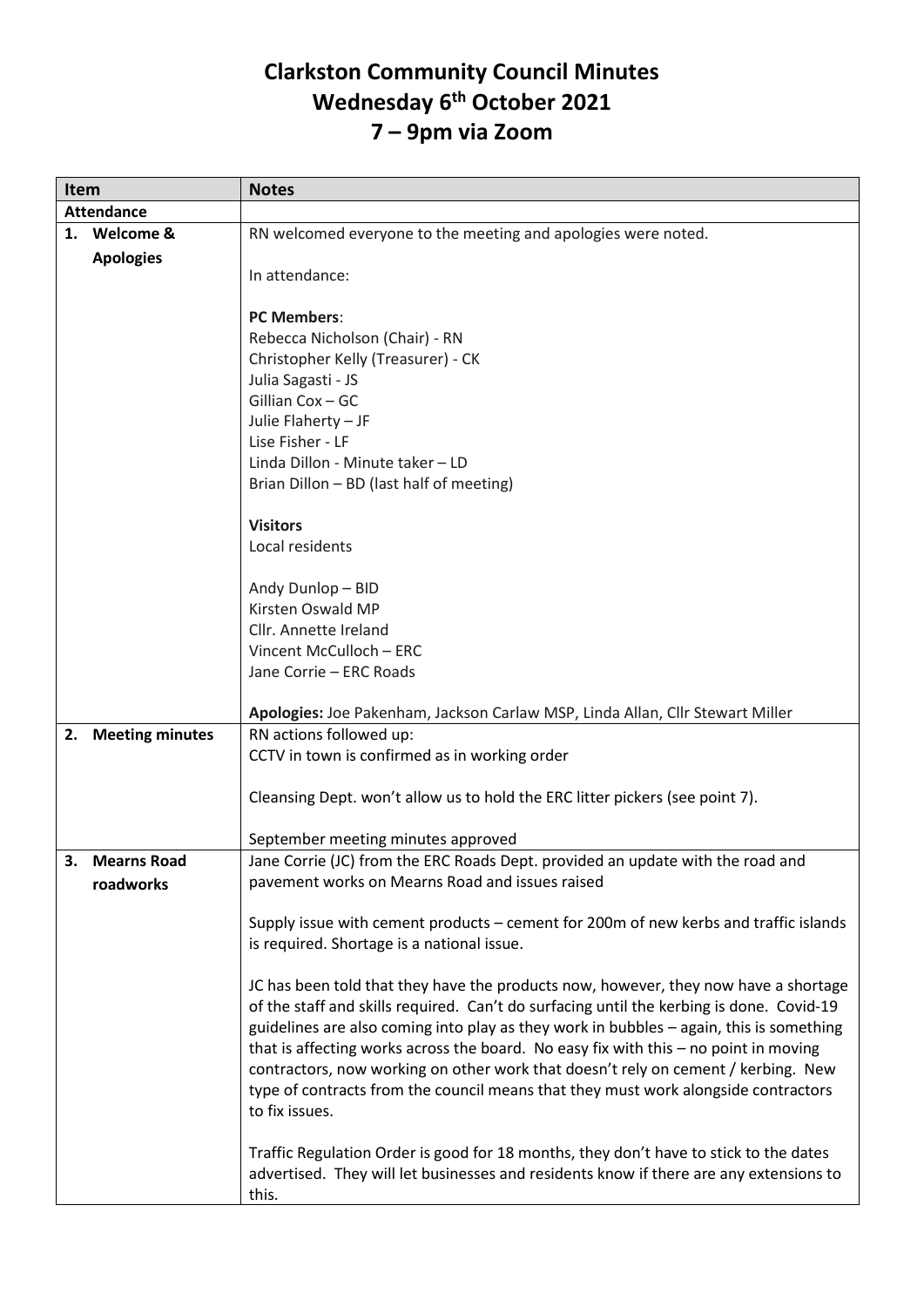## **Clarkston Community Council Minutes Wednesday 6th October 2021 7 – 9pm via Zoom**

| <b>Item</b>       |                        | <b>Notes</b>                                                                             |
|-------------------|------------------------|------------------------------------------------------------------------------------------|
| <b>Attendance</b> |                        |                                                                                          |
|                   | 1. Welcome &           | RN welcomed everyone to the meeting and apologies were noted.                            |
|                   | <b>Apologies</b>       |                                                                                          |
|                   |                        | In attendance:                                                                           |
|                   |                        |                                                                                          |
|                   |                        | <b>PC Members:</b>                                                                       |
|                   |                        | Rebecca Nicholson (Chair) - RN                                                           |
|                   |                        | Christopher Kelly (Treasurer) - CK                                                       |
|                   |                        | Julia Sagasti - JS                                                                       |
|                   |                        | Gillian Cox - GC                                                                         |
|                   |                        | Julie Flaherty - JF                                                                      |
|                   |                        | Lise Fisher - LF                                                                         |
|                   |                        | Linda Dillon - Minute taker - LD                                                         |
|                   |                        | Brian Dillon - BD (last half of meeting)                                                 |
|                   |                        |                                                                                          |
|                   |                        | <b>Visitors</b>                                                                          |
|                   |                        | Local residents                                                                          |
|                   |                        |                                                                                          |
|                   |                        | Andy Dunlop - BID                                                                        |
|                   |                        | Kirsten Oswald MP                                                                        |
|                   |                        | Cllr. Annette Ireland                                                                    |
|                   |                        | Vincent McCulloch - ERC                                                                  |
|                   |                        | Jane Corrie - ERC Roads                                                                  |
|                   |                        |                                                                                          |
|                   |                        | Apologies: Joe Pakenham, Jackson Carlaw MSP, Linda Allan, Cllr Stewart Miller            |
| 2.                | <b>Meeting minutes</b> | RN actions followed up:                                                                  |
|                   |                        | CCTV in town is confirmed as in working order                                            |
|                   |                        |                                                                                          |
|                   |                        | Cleansing Dept. won't allow us to hold the ERC litter pickers (see point 7).             |
|                   |                        | September meeting minutes approved                                                       |
|                   | 3. Mearns Road         | Jane Corrie (JC) from the ERC Roads Dept. provided an update with the road and           |
|                   | roadworks              | pavement works on Mearns Road and issues raised                                          |
|                   |                        |                                                                                          |
|                   |                        | Supply issue with cement products - cement for 200m of new kerbs and traffic islands     |
|                   |                        | is required. Shortage is a national issue.                                               |
|                   |                        |                                                                                          |
|                   |                        | JC has been told that they have the products now, however, they now have a shortage      |
|                   |                        | of the staff and skills required. Can't do surfacing until the kerbing is done. Covid-19 |
|                   |                        | guidelines are also coming into play as they work in bubbles - again, this is something  |
|                   |                        | that is affecting works across the board. No easy fix with this - no point in moving     |
|                   |                        | contractors, now working on other work that doesn't rely on cement / kerbing. New        |
|                   |                        | type of contracts from the council means that they must work alongside contractors       |
|                   |                        | to fix issues.                                                                           |
|                   |                        |                                                                                          |
|                   |                        | Traffic Regulation Order is good for 18 months, they don't have to stick to the dates    |
|                   |                        | advertised. They will let businesses and residents know if there are any extensions to   |
|                   |                        | this.                                                                                    |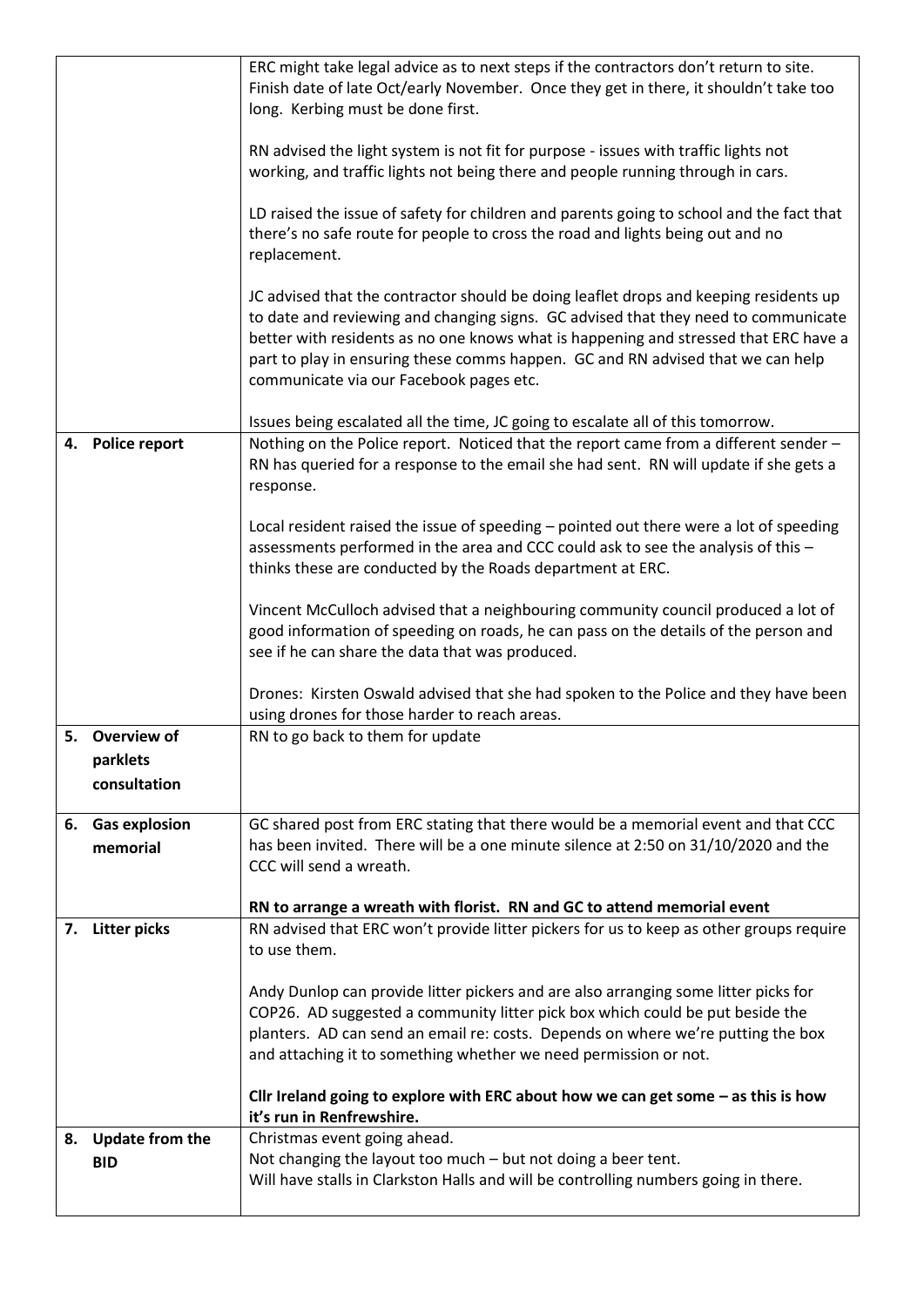|    |                              | ERC might take legal advice as to next steps if the contractors don't return to site.<br>Finish date of late Oct/early November. Once they get in there, it shouldn't take too                                                                                                                                                                                                                    |
|----|------------------------------|---------------------------------------------------------------------------------------------------------------------------------------------------------------------------------------------------------------------------------------------------------------------------------------------------------------------------------------------------------------------------------------------------|
|    |                              | long. Kerbing must be done first.                                                                                                                                                                                                                                                                                                                                                                 |
|    |                              | RN advised the light system is not fit for purpose - issues with traffic lights not<br>working, and traffic lights not being there and people running through in cars.                                                                                                                                                                                                                            |
|    |                              | LD raised the issue of safety for children and parents going to school and the fact that<br>there's no safe route for people to cross the road and lights being out and no<br>replacement.                                                                                                                                                                                                        |
|    |                              | JC advised that the contractor should be doing leaflet drops and keeping residents up<br>to date and reviewing and changing signs. GC advised that they need to communicate<br>better with residents as no one knows what is happening and stressed that ERC have a<br>part to play in ensuring these comms happen. GC and RN advised that we can help<br>communicate via our Facebook pages etc. |
|    |                              | Issues being escalated all the time, JC going to escalate all of this tomorrow.                                                                                                                                                                                                                                                                                                                   |
| 4. | <b>Police report</b>         | Nothing on the Police report. Noticed that the report came from a different sender -<br>RN has queried for a response to the email she had sent. RN will update if she gets a<br>response.                                                                                                                                                                                                        |
|    |                              | Local resident raised the issue of speeding - pointed out there were a lot of speeding<br>assessments performed in the area and CCC could ask to see the analysis of this -<br>thinks these are conducted by the Roads department at ERC.                                                                                                                                                         |
|    |                              | Vincent McCulloch advised that a neighbouring community council produced a lot of<br>good information of speeding on roads, he can pass on the details of the person and<br>see if he can share the data that was produced.                                                                                                                                                                       |
|    |                              | Drones: Kirsten Oswald advised that she had spoken to the Police and they have been<br>using drones for those harder to reach areas.                                                                                                                                                                                                                                                              |
|    | 5. Overview of               | RN to go back to them for update                                                                                                                                                                                                                                                                                                                                                                  |
|    | parklets<br>consultation     |                                                                                                                                                                                                                                                                                                                                                                                                   |
|    | 6. Gas explosion<br>memorial | GC shared post from ERC stating that there would be a memorial event and that CCC<br>has been invited. There will be a one minute silence at 2:50 on 31/10/2020 and the<br>CCC will send a wreath.                                                                                                                                                                                                |
|    |                              | RN to arrange a wreath with florist. RN and GC to attend memorial event                                                                                                                                                                                                                                                                                                                           |
|    | 7. Litter picks              | RN advised that ERC won't provide litter pickers for us to keep as other groups require<br>to use them.                                                                                                                                                                                                                                                                                           |
|    |                              | Andy Dunlop can provide litter pickers and are also arranging some litter picks for<br>COP26. AD suggested a community litter pick box which could be put beside the<br>planters. AD can send an email re: costs. Depends on where we're putting the box<br>and attaching it to something whether we need permission or not.                                                                      |
|    |                              | Cllr Ireland going to explore with ERC about how we can get some $-$ as this is how<br>it's run in Renfrewshire.                                                                                                                                                                                                                                                                                  |
|    | 8. Update from the           | Christmas event going ahead.                                                                                                                                                                                                                                                                                                                                                                      |
|    | <b>BID</b>                   | Not changing the layout too much - but not doing a beer tent.<br>Will have stalls in Clarkston Halls and will be controlling numbers going in there.                                                                                                                                                                                                                                              |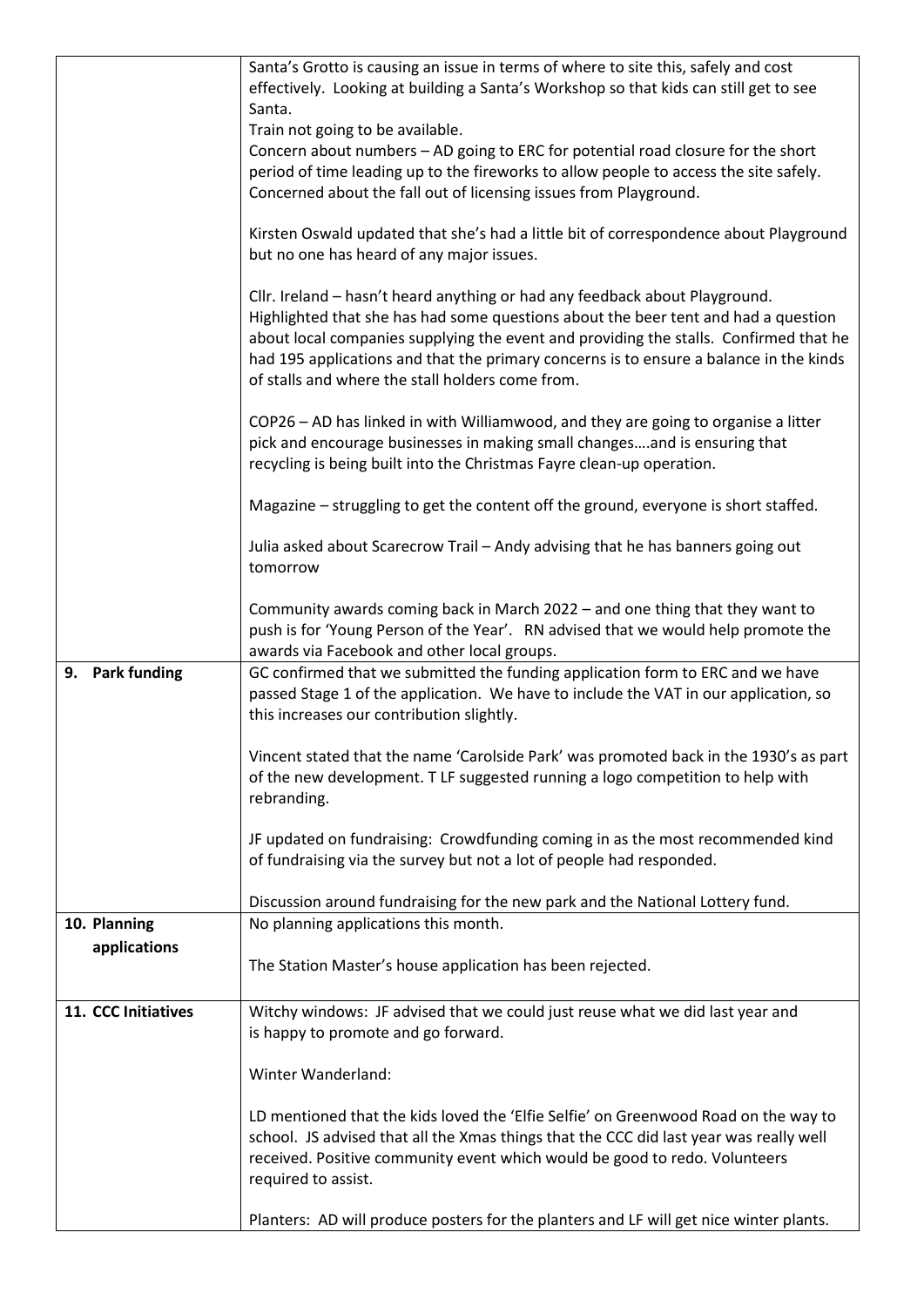|                              | received. Positive community event which would be good to redo. Volunteers<br>required to assist.<br>Planters: AD will produce posters for the planters and LF will get nice winter plants.                                                                                                                                                          |
|------------------------------|------------------------------------------------------------------------------------------------------------------------------------------------------------------------------------------------------------------------------------------------------------------------------------------------------------------------------------------------------|
|                              | Winter Wanderland:<br>LD mentioned that the kids loved the 'Elfie Selfie' on Greenwood Road on the way to<br>school. JS advised that all the Xmas things that the CCC did last year was really well                                                                                                                                                  |
|                              | Witchy windows: JF advised that we could just reuse what we did last year and<br>is happy to promote and go forward.                                                                                                                                                                                                                                 |
| 11. CCC Initiatives          | The Station Master's house application has been rejected.                                                                                                                                                                                                                                                                                            |
| 10. Planning<br>applications | No planning applications this month.                                                                                                                                                                                                                                                                                                                 |
|                              | JF updated on fundraising: Crowdfunding coming in as the most recommended kind<br>of fundraising via the survey but not a lot of people had responded.<br>Discussion around fundraising for the new park and the National Lottery fund.                                                                                                              |
|                              | Vincent stated that the name 'Carolside Park' was promoted back in the 1930's as part<br>of the new development. T LF suggested running a logo competition to help with<br>rebranding.                                                                                                                                                               |
| 9. Park funding              | GC confirmed that we submitted the funding application form to ERC and we have<br>passed Stage 1 of the application. We have to include the VAT in our application, so<br>this increases our contribution slightly.                                                                                                                                  |
|                              | Community awards coming back in March 2022 - and one thing that they want to<br>push is for 'Young Person of the Year'. RN advised that we would help promote the<br>awards via Facebook and other local groups.                                                                                                                                     |
|                              | Julia asked about Scarecrow Trail - Andy advising that he has banners going out<br>tomorrow                                                                                                                                                                                                                                                          |
|                              | Magazine - struggling to get the content off the ground, everyone is short staffed.                                                                                                                                                                                                                                                                  |
|                              | COP26 - AD has linked in with Williamwood, and they are going to organise a litter<br>pick and encourage businesses in making small changesand is ensuring that<br>recycling is being built into the Christmas Fayre clean-up operation.                                                                                                             |
|                              | of stalls and where the stall holders come from.                                                                                                                                                                                                                                                                                                     |
|                              | Cllr. Ireland - hasn't heard anything or had any feedback about Playground.<br>Highlighted that she has had some questions about the beer tent and had a question<br>about local companies supplying the event and providing the stalls. Confirmed that he<br>had 195 applications and that the primary concerns is to ensure a balance in the kinds |
|                              | Kirsten Oswald updated that she's had a little bit of correspondence about Playground<br>but no one has heard of any major issues.                                                                                                                                                                                                                   |
|                              | Concern about numbers - AD going to ERC for potential road closure for the short<br>period of time leading up to the fireworks to allow people to access the site safely.<br>Concerned about the fall out of licensing issues from Playground.                                                                                                       |
|                              | Santa's Grotto is causing an issue in terms of where to site this, safely and cost<br>effectively. Looking at building a Santa's Workshop so that kids can still get to see<br>Santa.<br>Train not going to be available.                                                                                                                            |